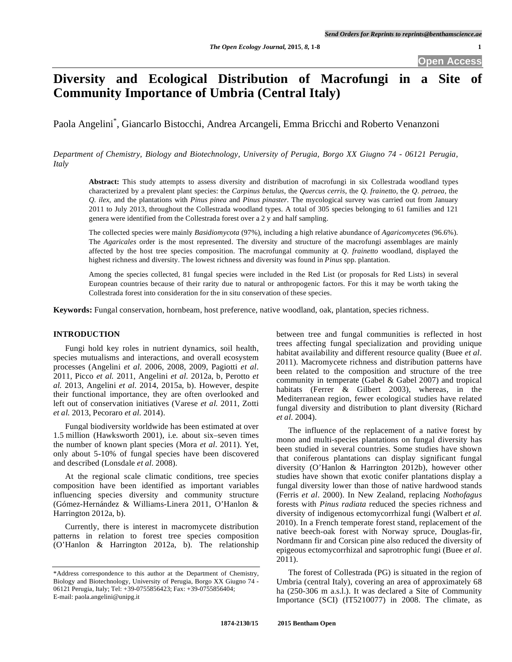# **Diversity and Ecological Distribution of Macrofungi in a Site of Community Importance of Umbria (Central Italy)**

Paola Angelini\* , Giancarlo Bistocchi, Andrea Arcangeli, Emma Bricchi and Roberto Venanzoni

*Department of Chemistry, Biology and Biotechnology, University of Perugia, Borgo XX Giugno 74 - 06121 Perugia, Italy*

**Abstract:** This study attempts to assess diversity and distribution of macrofungi in six Collestrada woodland types characterized by a prevalent plant species: the *Carpinus betulus*, the *Quercus cerris*, the *Q. frainetto*, the *Q. petraea*, the *Q. ilex*, and the plantations with *Pinus pinea* and *Pinus pinaster*. The mycological survey was carried out from January 2011 to July 2013, throughout the Collestrada woodland types. A total of 305 species belonging to 61 families and 121 genera were identified from the Collestrada forest over a 2 y and half sampling.

The collected species were mainly *Basidiomycota* (97%), including a high relative abundance of *Agaricomycetes* (96.6%). The *Agaricales* order is the most represented. The diversity and structure of the macrofungi assemblages are mainly affected by the host tree species composition. The macrofungal community at *Q. frainetto* woodland, displayed the highest richness and diversity. The lowest richness and diversity was found in *Pinus* spp. plantation.

Among the species collected, 81 fungal species were included in the Red List (or proposals for Red Lists) in several European countries because of their rarity due to natural or anthropogenic factors. For this it may be worth taking the Collestrada forest into consideration for the in situ conservation of these species.

**Keywords:** Fungal conservation, hornbeam, host preference, native woodland, oak, plantation, species richness.

### **INTRODUCTION**

 Fungi hold key roles in nutrient dynamics, soil health, species mutualisms and interactions, and overall ecosystem processes (Angelini *et al*. 2006, 2008, 2009, Pagiotti *et al*. 2011, Picco *et al.* 2011, Angelini *et al*. 2012a, b, Perotto *et al.* 2013, Angelini *et al.* 2014, 2015a, b). However, despite their functional importance, they are often overlooked and left out of conservation initiatives (Varese *et al.* 2011, Zotti *et al.* 2013, Pecoraro *et al.* 2014).

 Fungal biodiversity worldwide has been estimated at over 1.5 million (Hawksworth 2001), i.e. about six–seven times the number of known plant species (Mora *et al*. 2011). Yet, only about 5-10% of fungal species have been discovered and described (Lonsdale *et al.* 2008).

 At the regional scale climatic conditions, tree species composition have been identified as important variables influencing species diversity and community structure (Gómez-Hernández & Williams-Linera 2011, O'Hanlon & Harrington 2012a, b).

 Currently, there is interest in macromycete distribution patterns in relation to forest tree species composition (O'Hanlon & Harrington 2012a, b). The relationship

between tree and fungal communities is reflected in host trees affecting fungal specialization and providing unique habitat availability and different resource quality (Buee *et al*. 2011). Macromycete richness and distribution patterns have been related to the composition and structure of the tree community in temperate (Gabel & Gabel 2007) and tropical habitats (Ferrer & Gilbert 2003), whereas, in the Mediterranean region, fewer ecological studies have related fungal diversity and distribution to plant diversity (Richard *et al*. 2004).

 The influence of the replacement of a native forest by mono and multi-species plantations on fungal diversity has been studied in several countries. Some studies have shown that coniferous plantations can display significant fungal diversity (O'Hanlon & Harrington 2012b), however other studies have shown that exotic conifer plantations display a fungal diversity lower than those of native hardwood stands (Ferris *et al*. 2000). In New Zealand, replacing *Nothofagus* forests with *Pinus radiata* reduced the species richness and diversity of indigenous ectomycorrhizal fungi (Walbert *et al.* 2010). In a French temperate forest stand, replacement of the native beech-oak forest with Norway spruce, Douglas-fir, Nordmann fir and Corsican pine also reduced the diversity of epigeous ectomycorrhizal and saprotrophic fungi (Buee *et al*. 2011).

 The forest of Collestrada (PG) is situated in the region of Umbria (central Italy), covering an area of approximately 68 ha (250-306 m a.s.l.). It was declared a Site of Community Importance (SCI) (IT5210077) in 2008. The climate, as

<sup>\*</sup>Address correspondence to this author at the Department of Chemistry, Biology and Biotechnology, University of Perugia, Borgo XX Giugno 74 - 06121 Perugia, Italy; Tel: +39-0755856423; Fax: +39-0755856404; E-mail: paola.angelini@unipg.it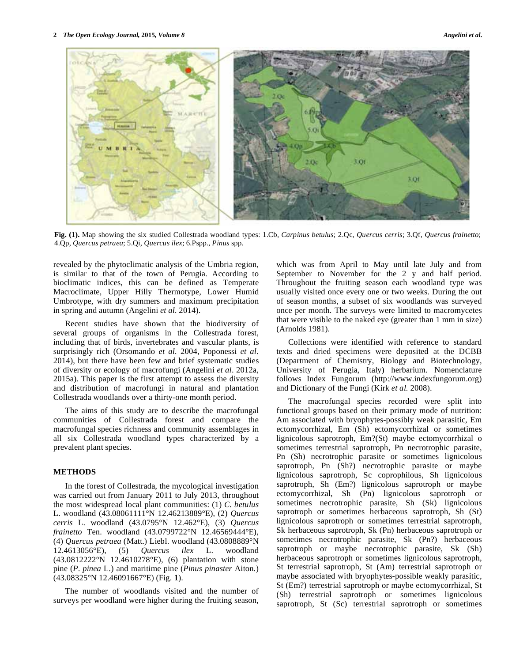

**Fig. (1).** Map showing the six studied Collestrada woodland types: 1.Cb, *Carpinus betulus*; 2.Qc, *Quercus cerris*; 3.Qf, *Quercus frainetto*; 4.Qp, *Quercus petraea*; 5.Qi, *Quercus ilex*; 6.Pspp., *Pinus* spp*.* 

revealed by the phytoclimatic analysis of the Umbria region, is similar to that of the town of Perugia. According to bioclimatic indices, this can be defined as Temperate Macroclimate, Upper Hilly Thermotype, Lower Humid Umbrotype, with dry summers and maximum precipitation in spring and autumn (Angelini *et al.* 2014).

 Recent studies have shown that the biodiversity of several groups of organisms in the Collestrada forest, including that of birds, invertebrates and vascular plants, is surprisingly rich (Orsomando *et al.* 2004, Poponessi *et al*. 2014), but there have been few and brief systematic studies of diversity or ecology of macrofungi (Angelini *et al*. 2012a, 2015a). This paper is the first attempt to assess the diversity and distribution of macrofungi in natural and plantation Collestrada woodlands over a thirty-one month period.

 The aims of this study are to describe the macrofungal communities of Collestrada forest and compare the macrofungal species richness and community assemblages in all six Collestrada woodland types characterized by a prevalent plant species.

### **METHODS**

 In the forest of Collestrada, the mycological investigation was carried out from January 2011 to July 2013, throughout the most widespread local plant communities: (1) *C*. *betulus* L. woodland (43.08061111°N 12.46213889°E), (2) *Quercus cerris* L. woodland (43.0795°N 12.462°E), (3) *Quercus frainetto* Ten. woodland (43.0799722°N 12.46569444°E), (4) *Quercus petraea* (Matt.) Liebl. woodland (43.0808889°N 12.4613056°E), (5) *Quercus ilex* L. woodland (43.0812222°N 12.4610278°E), (6) plantation with stone pine (*P*. *pinea* L*.*) and maritime pine (*Pinus pinaster* Aiton*.*) (43.08325°N 12.46091667°E) (Fig. **1**).

 The number of woodlands visited and the number of surveys per woodland were higher during the fruiting season, which was from April to May until late July and from September to November for the 2 y and half period. Throughout the fruiting season each woodland type was usually visited once every one or two weeks. During the out of season months, a subset of six woodlands was surveyed once per month. The surveys were limited to macromycetes that were visible to the naked eye (greater than 1 mm in size) (Arnolds 1981).

 Collections were identified with reference to standard texts and dried specimens were deposited at the DCBB (Department of Chemistry, Biology and Biotechnology, University of Perugia, Italy) herbarium. Nomenclature follows Index Fungorum (http://www.indexfungorum.org) and Dictionary of the Fungi (Kirk *et al.* 2008).

 The macrofungal species recorded were split into functional groups based on their primary mode of nutrition: Am associated with bryophytes-possibly weak parasitic, Em ectomycorrhizal, Em (Sh) ectomycorrhizal or sometimes lignicolous saprotroph, Em?(St) maybe ectomycorrhizal o sometimes terrestrial saprotroph, Pn necrotrophic parasite, Pn (Sh) necrotrophic parasite or sometimes lignicolous saprotroph, Pn (Sh?) necrotrophic parasite or maybe lignicolous saprotroph, Sc coprophilous, Sh lignicolous saprotroph, Sh (Em?) lignicolous saprotroph or maybe ectomycorrhizal, Sh (Pn) lignicolous saprotroph or sometimes necrotrophic parasite, Sh (Sk) lignicolous saprotroph or sometimes herbaceous saprotroph, Sh (St) lignicolous saprotroph or sometimes terrestrial saprotroph, Sk herbaceous saprotroph, Sk (Pn) herbaceous saprotroph or sometimes necrotrophic parasite, Sk (Pn?) herbaceous saprotroph or maybe necrotrophic parasite, Sk (Sh) herbaceous saprotroph or sometimes lignicolous saprotroph, St terrestrial saprotroph, St (Am) terrestrial saprotroph or maybe associated with bryophytes-possible weakly parasitic, St (Em?) terrestrial saprotroph or maybe ectomycorrhizal, St (Sh) terrestrial saprotroph or sometimes lignicolous saprotroph, St (Sc) terrestrial saprotroph or sometimes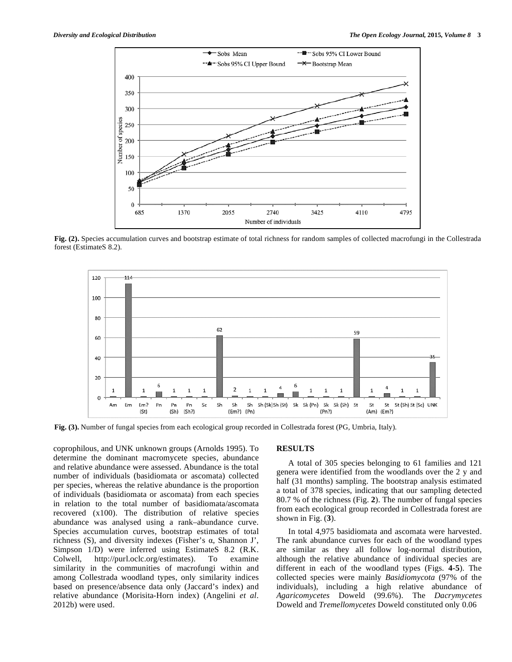

**Fig. (2).** Species accumulation curves and bootstrap estimate of total richness for random samples of collected macrofungi in the Collestrada forest (EstimateS 8.2).



**Fig. (3).** Number of fungal species from each ecological group recorded in Collestrada forest (PG, Umbria, Italy).

coprophilous, and UNK unknown groups (Arnolds 1995). To determine the dominant macromycete species, abundance and relative abundance were assessed. Abundance is the total number of individuals (basidiomata or ascomata) collected per species, whereas the relative abundance is the proportion of individuals (basidiomata or ascomata) from each species in relation to the total number of basidiomata/ascomata recovered (x100). The distribution of relative species abundance was analysed using a rank–abundance curve. Species accumulation curves, bootstrap estimates of total richness  $(S)$ , and diversity indexes (Fisher's  $\alpha$ , Shannon J', Simpson 1/D) were inferred using EstimateS 8.2 (R.K. Colwell, http://purl.oclc.org/estimates). To examine similarity in the communities of macrofungi within and among Collestrada woodland types, only similarity indices based on presence/absence data only (Jaccard's index) and relative abundance (Morisita-Horn index) (Angelini *et al*. 2012b) were used.

### **RESULTS**

 A total of 305 species belonging to 61 families and 121 genera were identified from the woodlands over the 2 y and half (31 months) sampling. The bootstrap analysis estimated a total of 378 species, indicating that our sampling detected 80.7 % of the richness (Fig. **2**). The number of fungal species from each ecological group recorded in Collestrada forest are shown in Fig. (**3**).

 In total 4,975 basidiomata and ascomata were harvested. The rank abundance curves for each of the woodland types are similar as they all follow log-normal distribution, although the relative abundance of individual species are different in each of the woodland types (Figs. **4-5**). The collected species were mainly *Basidiomycota* (97% of the individuals), including a high relative abundance of *Agaricomycetes* Doweld (99.6%). The *Dacrymycetes*  Doweld and *Tremellomycetes* Doweld constituted only 0.06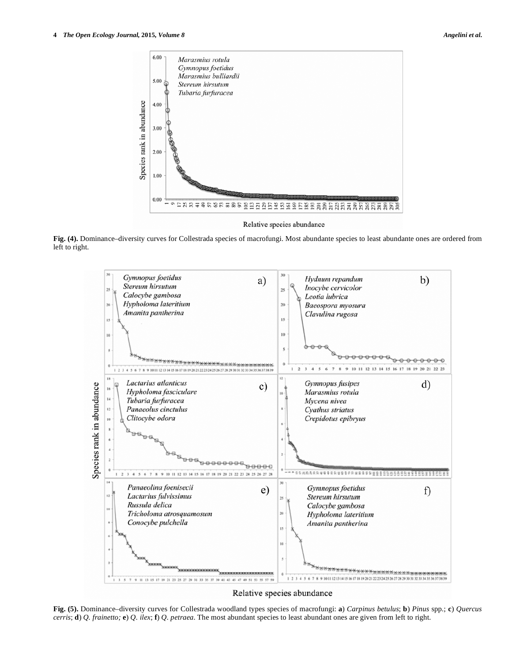

**Fig. (4).** Dominance–diversity curves for Collestrada species of macrofungi. Most abundante species to least abundante ones are ordered from left to right.



### Relative species abundance

**Fig. (5).** Dominance–diversity curves for Collestrada woodland types species of macrofungi: **a**) *Carpinus betulus*; **b**) *Pinus* spp*.*; **c**) *Quercus cerris*; **d**) *Q. frainetto;* **e**) *Q. ilex*; **f**) *Q. petraea*. The most abundant species to least abundant ones are given from left to right.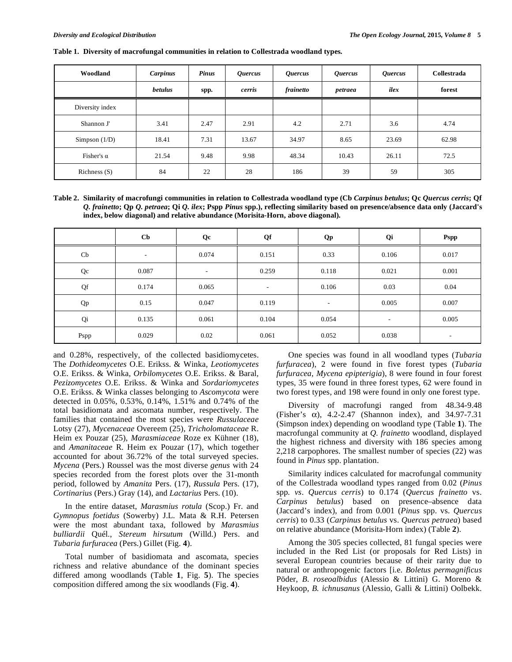| Woodland          | Carpinus       | <b>Pinus</b> | <i><b>Quercus</b></i> | <i><b>Quercus</b></i> | <i><b>Quercus</b></i> | <i><b>Quercus</b></i> | Collestrada |
|-------------------|----------------|--------------|-----------------------|-----------------------|-----------------------|-----------------------|-------------|
|                   | <b>betulus</b> | spp.         | cerris                | frainetto             | petraea               | ilex                  | forest      |
| Diversity index   |                |              |                       |                       |                       |                       |             |
| Shannon J'        | 3.41           | 2.47         | 2.91                  | 4.2                   | 2.71                  | 3.6                   | 4.74        |
| Simpson $(1/D)$   | 18.41          | 7.31         | 13.67                 | 34.97                 | 8.65                  | 23.69                 | 62.98       |
| Fisher's $\alpha$ | 21.54          | 9.48         | 9.98                  | 48.34                 | 10.43                 | 26.11                 | 72.5        |
| Richness $(S)$    | 84             | 22           | 28                    | 186                   | 39                    | 59                    | 305         |

**Table 1. Diversity of macrofungal communities in relation to Collestrada woodland types.** 

**Table 2. Similarity of macrofungi communities in relation to Collestrada woodland type (Cb** *Carpinus betulus***; Qc** *Quercus cerris***; Qf**  *Q. frainetto***; Qp** *Q. petraea***; Qi** *Q. ilex***; Pspp** *Pinus* **spp.), reflecting similarity based on presence/absence data only (Jaccard's index, below diagonal) and relative abundance (Morisita-Horn, above diagonal).** 

|      | $\mathbf{C}\mathbf{b}$   | Qc                       | Qf                       | <b>Qp</b>                | Qi                       | <b>Pspp</b>              |
|------|--------------------------|--------------------------|--------------------------|--------------------------|--------------------------|--------------------------|
| Cb   | $\overline{\phantom{a}}$ | 0.074                    | 0.151                    | 0.33                     | 0.106                    | 0.017                    |
| Qc   | 0.087                    | $\overline{\phantom{0}}$ | 0.259                    | 0.118                    | 0.021                    | 0.001                    |
| Qf   | 0.174                    | 0.065                    | $\overline{\phantom{a}}$ | 0.106                    | 0.03                     | 0.04                     |
| Qp   | 0.15                     | 0.047                    | 0.119                    | $\overline{\phantom{0}}$ | 0.005                    | 0.007                    |
| Qi   | 0.135                    | 0.061                    | 0.104                    | 0.054                    | $\overline{\phantom{a}}$ | 0.005                    |
| Pspp | 0.029                    | 0.02                     | 0.061                    | 0.052                    | 0.038                    | $\overline{\phantom{a}}$ |

and 0.28%, respectively, of the collected basidiomycetes. The *Dothideomycetes* O.E. Erikss. & Winka*, Leotiomycetes*  O.E. Erikss. & Winka*, Orbilomycetes* O.E. Erikss. & Baral*, Pezizomycetes* O.E. Erikss. & Winka and *Sordariomycetes*  O.E. Erikss. & Winka classes belonging to *Ascomycota* were detected in 0.05%, 0.53%, 0.14%, 1.51% and 0.74% of the total basidiomata and ascomata number, respectively. The families that contained the most species were *Russulaceae* Lotsy (27), *Mycenaceae* Overeem (25), *Tricholomataceae* R. Heim ex Pouzar (25), *Marasmiaceae* Roze ex Kühner (18), and *Amanitaceae* R. Heim ex Pouzar (17), which together accounted for about 36.72% of the total surveyed species. *Mycena* (Pers.) Roussel was the most diverse *genus* with 24 species recorded from the forest plots over the 31-month period, followed by *Amanita* Pers. (17), *Russula* Pers. (17), *Cortinarius* (Pers.) Gray (14), and *Lactarius* Pers. (10).

 In the entire dataset, *Marasmius rotula* (Scop.) Fr. and *Gymnopus foetidus* (Sowerby) J.L. Mata & R.H. Petersen were the most abundant taxa, followed by *Marasmius bulliardii* Quél*.*, *Stereum hirsutum* (Willd.) Pers. and *Tubaria furfuracea* (Pers.) Gillet (Fig. **4**).

 Total number of basidiomata and ascomata, species richness and relative abundance of the dominant species differed among woodlands (Table **1**, Fig. **5**). The species composition differed among the six woodlands (Fig. **4**).

 One species was found in all woodland types (*Tubaria furfuracea*), 2 were found in five forest types (*Tubaria furfuracea, Mycena epipterigia*), 8 were found in four forest types, 35 were found in three forest types, 62 were found in two forest types, and 198 were found in only one forest type.

 Diversity of macrofungi ranged from 48.34-9.48 (Fisher's  $\alpha$ ), 4.2-2.47 (Shannon index), and 34.97-7.31 (Simpson index) depending on woodland type (Table **1**). The macrofungal community at *Q. frainetto* woodland, displayed the highest richness and diversity with 186 species among 2,218 carpophores. The smallest number of species (22) was found in *Pinus* spp. plantation.

 Similarity indices calculated for macrofungal community of the Collestrada woodland types ranged from 0.02 (*Pinus*  spp*. vs*. *Quercus cerris*) to 0.174 (*Quercus frainetto* vs. *Carpinus betulus*) based on presence–absence data (Jaccard's index), and from 0.001 (*Pinus* spp. vs. *Quercus cerris*) to 0.33 (*Carpinus betulus* vs. *Quercus petraea*) based on relative abundance (Morisita-Horn index) (Table **2**).

 Among the 305 species collected, 81 fungal species were included in the Red List (or proposals for Red Lists) in several European countries because of their rarity due to natural or anthropogenic factors [i.e. *Boletus permagnificus*  Pöder, *B. roseoalbidus* (Alessio & Littini) G. Moreno & Heykoop*, B. ichnusanus* (Alessio, Galli & Littini) Oolbekk.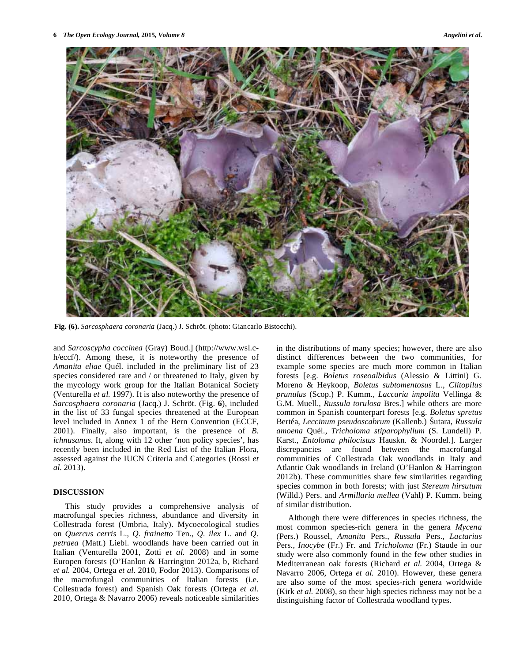

**Fig. (6).** *Sarcosphaera coronaria* (Jacq.) J. Schröt. (photo: Giancarlo Bistocchi).

and *Sarcoscypha coccinea* (Gray) Boud.] (http://www.wsl.ch/eccf/). Among these, it is noteworthy the presence of *Amanita eliae* Quél. included in the preliminary list of 23 species considered rare and / or threatened to Italy, given by the mycology work group for the Italian Botanical Society (Venturella *et al.* 1997). It is also noteworthy the presence of *Sarcosphaera coronaria* (Jacq.) J. Schröt. (Fig. **6**), included in the list of 33 fungal species threatened at the European level included in Annex 1 of the Bern Convention (ECCF, 2001). Finally, also important, is the presence of *B. ichnusanus*. It, along with 12 other 'non policy species', has recently been included in the Red List of the Italian Flora, assessed against the IUCN Criteria and Categories (Rossi *et al*. 2013).

### **DISCUSSION**

 This study provides a comprehensive analysis of macrofungal species richness, abundance and diversity in Collestrada forest (Umbria, Italy). Mycoecological studies on *Quercus cerris* L., *Q. frainetto* Ten., *Q. ilex* L. and *Q. petraea* (Matt.) Liebl. woodlands have been carried out in Italian (Venturella 2001, Zotti *et al.* 2008) and in some Europen forests (O'Hanlon & Harrington 2012a, b, Richard *et al.* 2004, Ortega *et al*. 2010, Fodor 2013). Comparisons of the macrofungal communities of Italian forests (i.e. Collestrada forest) and Spanish Oak forests (Ortega *et al.* 2010, Ortega & Navarro 2006) reveals noticeable similarities

in the distributions of many species; however, there are also distinct differences between the two communities, for example some species are much more common in Italian forests [e.g. *Boletus roseoalbidus* (Alessio & Littini) G. Moreno & Heykoop, *Boletus subtomentosus* L., *Clitopilus prunulus* (Scop.) P. Kumm., *Laccaria impolita* Vellinga & G.M. Muell., *Russula torulosa* Bres.] while others are more common in Spanish counterpart forests [e.g. *Boletus spretus*  Bertéa, *Leccinum pseudoscabrum* (Kallenb.) Šutara, Russula *amoena* Quél., *Tricholoma stiparophyllum* (S. Lundell) P. Karst., *Entoloma philocistus* Hauskn. & Noordel.]. Larger discrepancies are found between the macrofungal communities of Collestrada Oak woodlands in Italy and Atlantic Oak woodlands in Ireland (O'Hanlon & Harrington 2012b). These communities share few similarities regarding species common in both forests; with just *Stereum hirsutum* (Willd.) Pers. and *Armillaria mellea* (Vahl) P. Kumm. being of similar distribution.

 Although there were differences in species richness, the most common species-rich genera in the genera *Mycena*  (Pers.) Roussel, *Amanita* Pers., *Russula* Pers., *Lactarius*  Pers., *Inocybe* (Fr.) Fr. and *Tricholoma* (Fr.) Staude in our study were also commonly found in the few other studies in Mediterranean oak forests (Richard *et al.* 2004, Ortega & Navarro 2006, Ortega *et al.* 2010). However, these genera are also some of the most species-rich genera worldwide (Kirk *et al.* 2008), so their high species richness may not be a distinguishing factor of Collestrada woodland types.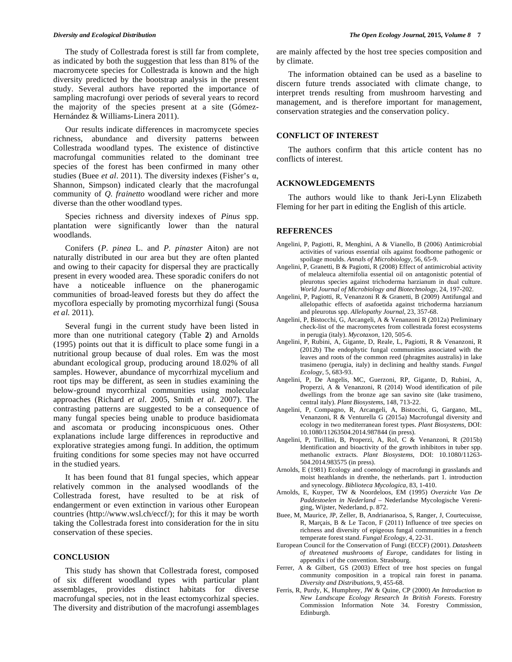The study of Collestrada forest is still far from complete, as indicated by both the suggestion that less than 81% of the macromycete species for Collestrada is known and the high diversity predicted by the bootstrap analysis in the present study. Several authors have reported the importance of sampling macrofungi over periods of several years to record the majority of the species present at a site (Gómez-Hernández & Williams-Linera 2011).

 Our results indicate differences in macromycete species richness, abundance and diversity patterns between Collestrada woodland types. The existence of distinctive macrofungal communities related to the dominant tree species of the forest has been confirmed in many other studies (Buee *et al.* 2011). The diversity indexes (Fisher's  $\alpha$ , Shannon, Simpson) indicated clearly that the macrofungal community of *Q. frainetto* woodland were richer and more diverse than the other woodland types.

 Species richness and diversity indexes of *Pinus* spp. plantation were significantly lower than the natural woodlands.

 Conifers (*P*. *pinea* L. and *P. pinaster* Aiton) are not naturally distributed in our area but they are often planted and owing to their capacity for dispersal they are practically present in every wooded area. These sporadic conifers do not have a noticeable influence on the phanerogamic communities of broad-leaved forests but they do affect the mycoflora especially by promoting mycorrhizal fungi (Sousa *et al.* 2011).

 Several fungi in the current study have been listed in more than one nutritional category (Table **2**) and Arnolds (1995) points out that it is difficult to place some fungi in a nutritional group because of dual roles. Em was the most abundant ecological group, producing around 18.02% of all samples. However, abundance of mycorrhizal mycelium and root tips may be different, as seen in studies examining the below-ground mycorrhizal communities using molecular approaches (Richard *et al*. 2005, Smith *et al.* 2007). The contrasting patterns are suggested to be a consequence of many fungal species being unable to produce basidiomata and ascomata or producing inconspicuous ones. Other explanations include large differences in reproductive and explorative strategies among fungi. In addition, the optimum fruiting conditions for some species may not have occurred in the studied years.

 It has been found that 81 fungal species, which appear relatively common in the analysed woodlands of the Collestrada forest, have resulted to be at risk of endangerment or even extinction in various other European countries (http://www.wsl.ch/eccf/); for this it may be worth taking the Collestrada forest into consideration for the in situ conservation of these species.

### **CONCLUSION**

 This study has shown that Collestrada forest, composed of six different woodland types with particular plant assemblages, provides distinct habitats for diverse macrofungal species, not in the least ectomycorhizal species. The diversity and distribution of the macrofungi assemblages are mainly affected by the host tree species composition and by climate.

 The information obtained can be used as a baseline to discern future trends associated with climate change, to interpret trends resulting from mushroom harvesting and management, and is therefore important for management, conservation strategies and the conservation policy.

## **CONFLICT OF INTEREST**

 The authors confirm that this article content has no conflicts of interest.

### **ACKNOWLEDGEMENTS**

 The authors would like to thank Jeri-Lynn Elizabeth Fleming for her part in editing the English of this article.

### **REFERENCES**

- Angelini, P, Pagiotti, R, Menghini, A & Vianello, B (2006) Antimicrobial activities of various essential oils against foodborne pathogenic or spoilage moulds. *Annals of Microbiology*, 56, 65-9.
- Angelini, P, Granetti, B & Pagiotti, R (2008) Effect of antimicrobial activity of melaleuca alternifolia essential oil on antagonistic potential of pleurotus species against trichoderma harzianum in dual culture. *World Journal of Microbiology and Biotechnology*, 24, 197-202.
- Angelini, P, Pagiotti, R, Venanzoni R & Granetti, B (2009) Antifungal and allelopathic effects of asafoetida against trichoderma harzianum and pleurotus spp. *Allelopathy Journal*, 23, 357-68.
- Angelini, P, Bistocchi, G, Arcangeli, A & Venanzoni R (2012a) Preliminary check-list of the macromycetes from collestrada forest ecosystems in perugia (italy). *Mycotaxon*, 120, 505-6.
- Angelini, P, Rubini, A, Gigante, D, Reale, L, Pagiotti, R & Venanzoni, R (2012b) The endophytic fungal communities associated with the leaves and roots of the common reed (phragmites australis) in lake trasimeno (perugia, italy) in declining and healthy stands. *Fungal Ecology*, 5, 683-93.
- Angelini, P, De Angelis, MC, Guerzoni, RP, Gigante, D, Rubini, A, Properzi, A & Venanzoni, R (2014) Wood identification of pile dwellings from the bronze age san savino site (lake trasimeno, central italy). *Plant Biosystems*, 148, 713-22.
- Angelini, P, Compagno, R, Arcangeli, A, Bistocchi, G, Gargano, ML, Venanzoni, R & Venturella G (2015a) Macrofungal diversity and ecology in two mediterranean forest types. *Plant Biosystems*, DOI: 10.1080/11263504.2014.987844 (in press).
- Angelini, P, Tirillini, B, Properzi, A, Rol, C & Venanzoni, R (2015b) Identification and bioactivity of the growth inhibitors in tuber spp. methanolic extracts. *Plant Biosystems*, DOI: 10.1080/11263- 504.2014.983575 (in press).
- Arnolds, E (1981) Ecology and coenology of macrofungi in grasslands and moist heathlands in drenthe, the netherlands. part 1. introduction and synecology. *Biblioteca Mycologica*, 83, 1-410.
- Arnolds, E, Kuyper, TW & Noordeloos, EM (1995) *Overzicht Van De Paddestoelen in Nederland –* Nederlandse Mycologische Vereniging, Wijster, Nederland, p. 872.
- Buee, M, Maurice, JP, Zeller, B, Andrianarisoa, S, Ranger, J, Courtecuisse, R, Marçais, B & Le Tacon, F (2011) Influence of tree species on richness and diversity of epigeous fungal communities in a french temperate forest stand. *Fungal Ecology*, 4, 22**-**31.
- European Council for the Conservation of Fungi (ECCF) (2001). *Datasheets of threatened mushrooms of Europe*, candidates for listing in appendix i of the convention. Strasbourg.
- Ferrer, A & Gilbert, GS (2003) Effect of tree host species on fungal community composition in a tropical rain forest in panama. *Diversity and Distributions*, 9, 455-68.
- Ferris, R, Purdy, K, Humphrey, JW & Quine, CP (2000) *An Introduction to New Landscape Ecology Research In British Forests*. Forestry Commission Information Note 34. Forestry Commission, Edinburgh.